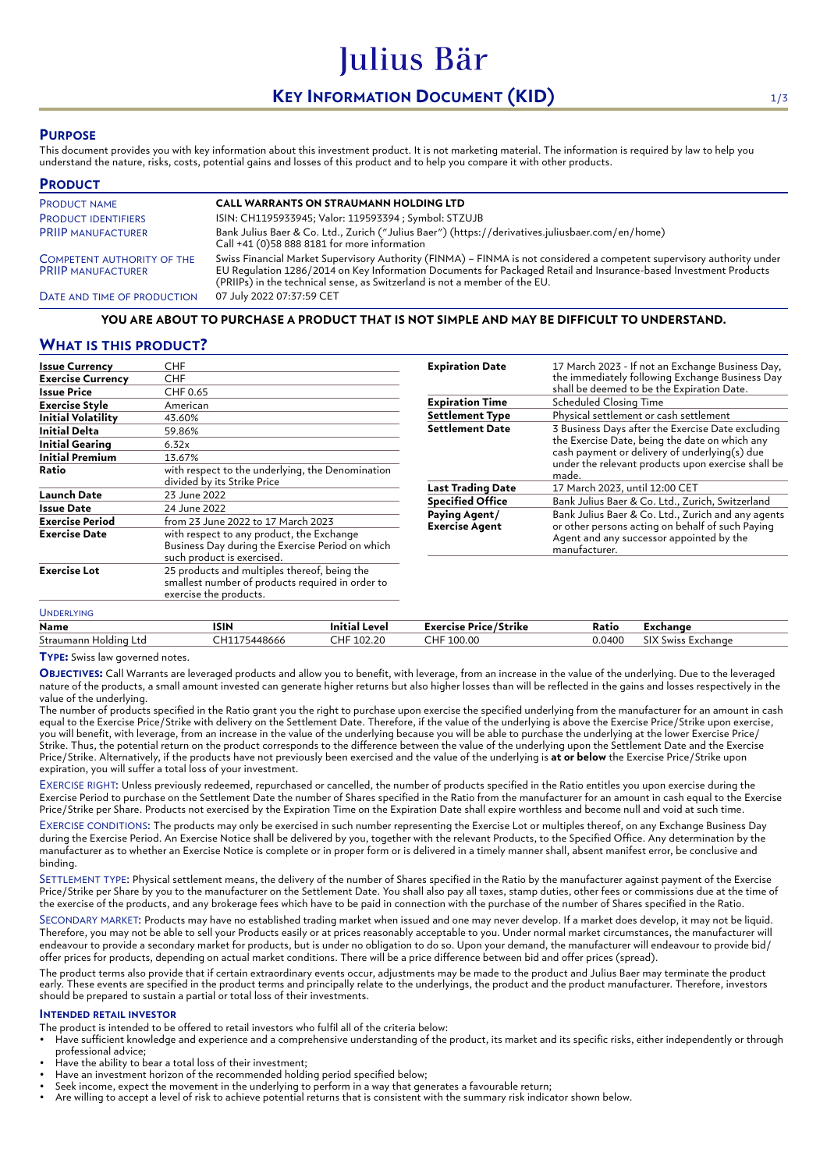# **KEY INFORMATION DOCUMENT (KID)** 1/3

Julius Bär

# **PURPOSE**

This document provides you with key information about this investment product. It is not marketing material. The information is required by law to help you understand the nature, risks, costs, potential gains and losses of this product and to help you compare it with other products.

| <b>PRODUCT</b>                                                 |                                                                                                                                                                                                                                                                                                                          |
|----------------------------------------------------------------|--------------------------------------------------------------------------------------------------------------------------------------------------------------------------------------------------------------------------------------------------------------------------------------------------------------------------|
| <b>PRODUCT NAME</b>                                            | <b>CALL WARRANTS ON STRAUMANN HOLDING LTD</b>                                                                                                                                                                                                                                                                            |
| <b>PRODUCT IDENTIFIERS</b>                                     | ISIN: CH1195933945; Valor: 119593394 ; Symbol: STZUJB                                                                                                                                                                                                                                                                    |
| <b>PRIIP MANUFACTURER</b>                                      | Bank Julius Baer & Co. Ltd., Zurich ("Julius Baer") (https://derivatives.juliusbaer.com/en/home)<br>Call +41 (0)58 888 8181 for more information                                                                                                                                                                         |
| <b>COMPETENT AUTHORITY OF THE</b><br><b>PRIIP MANUFACTURER</b> | Swiss Financial Market Supervisory Authority (FINMA) - FINMA is not considered a competent supervisory authority under<br>EU Requlation 1286/2014 on Key Information Documents for Packaged Retail and Insurance-based Investment Products<br>(PRIIPs) in the technical sense, as Switzerland is not a member of the EU. |
| DATE AND TIME OF PRODUCTION                                    | 07 July 2022 07:37:59 CET                                                                                                                                                                                                                                                                                                |

## **YOU ARE ABOUT TO PURCHASE A PRODUCT THAT IS NOT SIMPLE AND MAY BE DIFFICULT TO UNDERSTAND.**

## **WHAT IS THIS PRODUCT?**

| <b>Issue Currency</b>     | CHF                                                                                                                         |  |
|---------------------------|-----------------------------------------------------------------------------------------------------------------------------|--|
| <b>Exercise Currency</b>  | <b>CHF</b>                                                                                                                  |  |
| <b>Issue Price</b>        | CHF 0.65                                                                                                                    |  |
| Exercise Style            | American                                                                                                                    |  |
| <b>Initial Volatility</b> | 43.60%                                                                                                                      |  |
| Initial Delta             | 59.86%                                                                                                                      |  |
| <b>Initial Gearing</b>    | 6.32x                                                                                                                       |  |
| <b>Initial Premium</b>    | 13.67%                                                                                                                      |  |
| Ratio                     | with respect to the underlying, the Denomination<br>divided by its Strike Price                                             |  |
| <b>Launch Date</b>        | 23 June 2022                                                                                                                |  |
| Issue Date                | 24 June 2022                                                                                                                |  |
| Exercise Period           | from 23 June 2022 to 17 March 2023                                                                                          |  |
| <b>Exercise Date</b>      | with respect to any product, the Exchange<br>Business Day during the Exercise Period on which<br>such product is exercised. |  |
| <b>Exercise Lot</b>       | 25 products and multiples thereof, being the<br>smallest number of products required in order to<br>exercise the products.  |  |
| <b>UNDERLYING</b>         |                                                                                                                             |  |

| <b>Expiration Date</b>                 | 17 March 2023 - If not an Exchange Business Day,<br>the immediately following Exchange Business Day<br>shall be deemed to be the Expiration Date.                                                                   |
|----------------------------------------|---------------------------------------------------------------------------------------------------------------------------------------------------------------------------------------------------------------------|
| <b>Expiration Time</b>                 | <b>Scheduled Closing Time</b>                                                                                                                                                                                       |
| <b>Settlement Type</b>                 | Physical settlement or cash settlement                                                                                                                                                                              |
| <b>Settlement Date</b>                 | 3 Business Days after the Exercise Date excluding<br>the Exercise Date, being the date on which any<br>cash payment or delivery of underlying(s) due<br>under the relevant products upon exercise shall be<br>made. |
| <b>Last Trading Date</b>               | 17 March 2023, until 12:00 CET                                                                                                                                                                                      |
| <b>Specified Office</b>                | Bank Julius Baer & Co. Ltd., Zurich, Switzerland                                                                                                                                                                    |
| Paying Agent/<br><b>Exercise Agent</b> | Bank Julius Baer & Co. Ltd., Zurich and any agents<br>or other persons acting on behalf of such Paying<br>Agent and any successor appointed by the<br>manufacturer.                                                 |

| Name                     | ISIN     | Level<br>Initial | $\overline{\phantom{a}}$<br>Exercise Price/Strike | Ratio  | Exchange                |
|--------------------------|----------|------------------|---------------------------------------------------|--------|-------------------------|
| Straumann<br>Holding Ltd | 75448666 | 102.20           | CHF<br>100.00                                     | 0.0400 | SIX S<br>Swiss Exchange |

**TYPE:** Swiss law governed notes.

**OBJECTIVES:** Call Warrants are leveraged products and allow you to benefit, with leverage, from an increase in the value of the underlying. Due to the leveraged nature of the products, a small amount invested can generate higher returns but also higher losses than will be reflected in the gains and losses respectively in the value of the underlying.

The number of products specified in the Ratio grant you the right to purchase upon exercise the specified underlying from the manufacturer for an amount in cash equal to the Exercise Price/Strike with delivery on the Settlement Date. Therefore, if the value of the underlying is above the Exercise Price/Strike upon exercise, you will benefit, with leverage, from an increase in the value of the underlying because you will be able to purchase the underlying at the lower Exercise Price/ Strike. Thus, the potential return on the product corresponds to the difference between the value of the underlying upon the Settlement Date and the Exercise Price/Strike. Alternatively, if the products have not previously been exercised and the value of the underlying is **at or below** the Exercise Price/Strike upon expiration, you will suffer a total loss of your investment.

EXERCISE RIGHT: Unless previously redeemed, repurchased or cancelled, the number of products specified in the Ratio entitles you upon exercise during the Exercise Period to purchase on the Settlement Date the number of Shares specified in the Ratio from the manufacturer for an amount in cash equal to the Exercise Price/Strike per Share. Products not exercised by the Expiration Time on the Expiration Date shall expire worthless and become null and void at such time.

EXERCISE CONDITIONS: The products may only be exercised in such number representing the Exercise Lot or multiples thereof, on any Exchange Business Day during the Exercise Period. An Exercise Notice shall be delivered by you, together with the relevant Products, to the Specified Office. Any determination by the manufacturer as to whether an Exercise Notice is complete or in proper form or is delivered in a timely manner shall, absent manifest error, be conclusive and binding.

SETTLEMENT TYPE: Physical settlement means, the delivery of the number of Shares specified in the Ratio by the manufacturer against payment of the Exercise Price/Strike per Share by you to the manufacturer on the Settlement Date. You shall also pay all taxes, stamp duties, other fees or commissions due at the time of the exercise of the products, and any brokerage fees which have to be paid in connection with the purchase of the number of Shares specified in the Ratio.

SECONDARY MARKET: Products may have no established trading market when issued and one may never develop. If a market does develop, it may not be liquid. Therefore, you may not be able to sell your Products easily or at prices reasonably acceptable to you. Under normal market circumstances, the manufacturer will endeavour to provide a secondary market for products, but is under no obligation to do so. Upon your demand, the manufacturer will endeavour to provide bid/ offer prices for products, depending on actual market conditions. There will be a price difference between bid and offer prices (spread).

The product terms also provide that if certain extraordinary events occur, adjustments may be made to the product and Julius Baer may terminate the product early. These events are specified in the product terms and principally relate to the underlyings, the product and the product manufacturer. Therefore, investors should be prepared to sustain a partial or total loss of their investments.

### **INTENDED RETAIL INVESTOR**

The product is intended to be offered to retail investors who fulfil all of the criteria below:

- Have sufficient knowledge and experience and a comprehensive understanding of the product, its market and its specific risks, either independently or through professional advice;
- Have the ability to bear a total loss of their investment;
- Have an investment horizon of the recommended holding period specified below;
- Seek income, expect the movement in the underlying to perform in a way that generates a favourable return;
- Are willing to accept a level of risk to achieve potential returns that is consistent with the summary risk indicator shown below.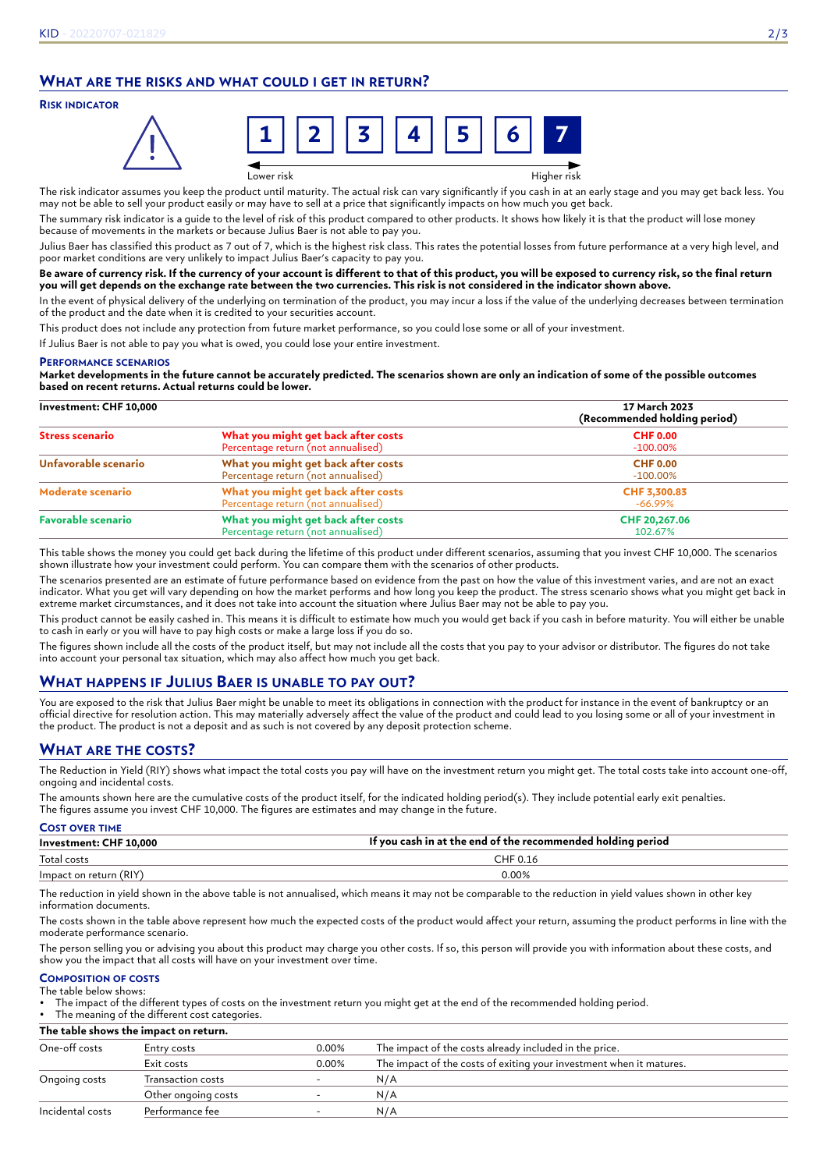# **WHAT ARE THE RISKS AND WHAT COULD I GET IN RETURN?**

### **RISK INDICATOR**



Lower risk Higher risk

The risk indicator assumes you keep the product until maturity. The actual risk can vary significantly if you cash in at an early stage and you may get back less. You may not be able to sell your product easily or may have to sell at a price that significantly impacts on how much you get back.

The summary risk indicator is a guide to the level of risk of this product compared to other products. It shows how likely it is that the product will lose money because of movements in the markets or because Julius Baer is not able to pay you.

Julius Baer has classified this product as 7 out of 7, which is the highest risk class. This rates the potential losses from future performance at a very high level, and poor market conditions are very unlikely to impact Julius Baer's capacity to pay you.

#### **Be aware of currency risk. If the currency of your account is different to that of this product, you will be exposed to currency risk, so the final return you will get depends on the exchange rate between the two currencies. This risk is not considered in the indicator shown above.**

In the event of physical delivery of the underlying on termination of the product, you may incur a loss if the value of the underlying decreases between termination of the product and the date when it is credited to your securities account.

This product does not include any protection from future market performance, so you could lose some or all of your investment.

If Julius Baer is not able to pay you what is owed, you could lose your entire investment.

#### **PERFORMANCE SCENARIOS**

**Market developments in the future cannot be accurately predicted. The scenarios shown are only an indication of some of the possible outcomes based on recent returns. Actual returns could be lower.**

| Investment: CHF 10,000    |                                                                           | 17 March 2023<br>(Recommended holding period) |
|---------------------------|---------------------------------------------------------------------------|-----------------------------------------------|
| <b>Stress scenario</b>    | What you might get back after costs<br>Percentage return (not annualised) | <b>CHF 0.00</b><br>$-100.00\%$                |
| Unfavorable scenario      | What you might get back after costs<br>Percentage return (not annualised) | <b>CHF 0.00</b><br>$-100.00\%$                |
| Moderate scenario         | What you might get back after costs<br>Percentage return (not annualised) | CHF 3,300.83<br>$-66.99\%$                    |
| <b>Favorable scenario</b> | What you might get back after costs<br>Percentage return (not annualised) | CHF 20,267.06<br>102.67%                      |

This table shows the money you could get back during the lifetime of this product under different scenarios, assuming that you invest CHF 10,000. The scenarios shown illustrate how your investment could perform. You can compare them with the scenarios of other products.

The scenarios presented are an estimate of future performance based on evidence from the past on how the value of this investment varies, and are not an exact indicator. What you get will vary depending on how the market performs and how long you keep the product. The stress scenario shows what you might get back in extreme market circumstances, and it does not take into account the situation where Julius Baer may not be able to pay you.

This product cannot be easily cashed in. This means it is difficult to estimate how much you would get back if you cash in before maturity. You will either be unable to cash in early or you will have to pay high costs or make a large loss if you do so.

The figures shown include all the costs of the product itself, but may not include all the costs that you pay to your advisor or distributor. The figures do not take into account your personal tax situation, which may also affect how much you get back.

# **WHAT HAPPENS IF JULIUS BAER IS UNABLE TO PAY OUT?**

You are exposed to the risk that Julius Baer might be unable to meet its obligations in connection with the product for instance in the event of bankruptcy or an official directive for resolution action. This may materially adversely affect the value of the product and could lead to you losing some or all of your investment in the product. The product is not a deposit and as such is not covered by any deposit protection scheme.

# **WHAT ARE THE COSTS?**

The Reduction in Yield (RIY) shows what impact the total costs you pay will have on the investment return you might get. The total costs take into account one-off, ongoing and incidental costs.

The amounts shown here are the cumulative costs of the product itself, for the indicated holding period(s). They include potential early exit penalties. The figures assume you invest CHF 10,000. The figures are estimates and may change in the future.

| <b>COST OVER TIME</b>  |                                                             |
|------------------------|-------------------------------------------------------------|
| Investment: CHF 10,000 | If you cash in at the end of the recommended holding period |
| Total costs            | CHF 0.16                                                    |
| Impact on return (RIY) | 0.00%                                                       |

The reduction in yield shown in the above table is not annualised, which means it may not be comparable to the reduction in yield values shown in other key information documents.

The costs shown in the table above represent how much the expected costs of the product would affect your return, assuming the product performs in line with the moderate performance scenario.

The person selling you or advising you about this product may charge you other costs. If so, this person will provide you with information about these costs, and show you the impact that all costs will have on your investment over time.

#### **COMPOSITION OF COSTS** The table below shows:

• The impact of the different types of costs on the investment return you might get at the end of the recommended holding period.

The meaning of the different cost categories.

**The table shows the impact on return.**

| One-off costs    | Entry costs         | 0.00% | The impact of the costs already included in the price.              |
|------------------|---------------------|-------|---------------------------------------------------------------------|
|                  | Exit costs          | 0.00% | The impact of the costs of exiting your investment when it matures. |
| Ongoing costs    | Transaction costs   |       | N/A                                                                 |
|                  | Other ongoing costs |       | N/A                                                                 |
| Incidental costs | Performance fee     |       | N/A                                                                 |